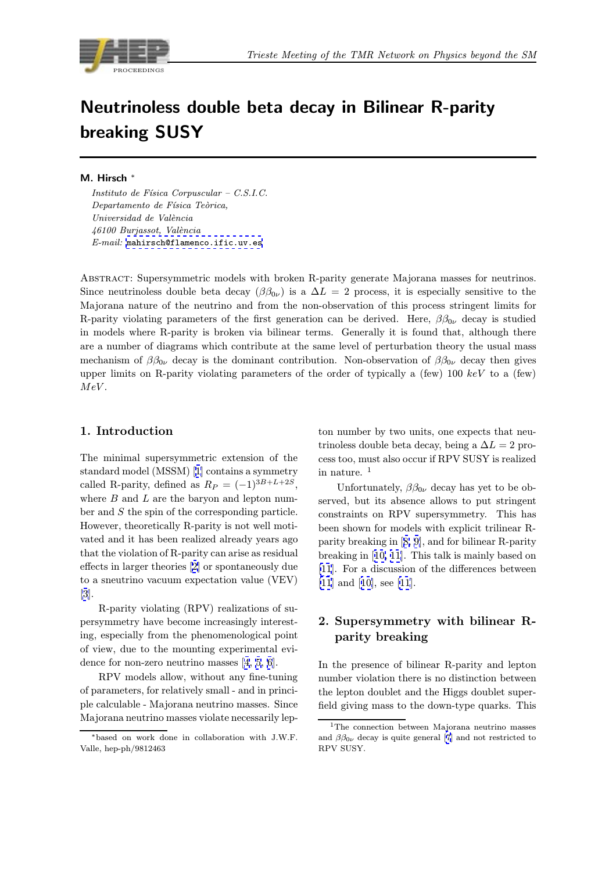

# Neutrinoless double beta decay in Bilinear R-parity breaking SUSY

M. Hirsch

Instituto de Física Corpuscular - C.S.I.C. Departamento de Física Teòrica, Universidad de València 46100 Burjassot, València E-mail: mahirsch@flamenco.ific.uv.es

Abstract: Supersymmetric models with broken R-parity generate Majorana masses for neutrinos. Since neutrinoless double beta decay  $(\beta \beta_{0\nu})$  is a  $\Delta L = 2$  process, it is especially sensitive to the Majorana nature of the neutrino and from the non-observation of this process stringent limits for R-parity violating parameters of the first generation can be derived. Here,  $\beta\beta_{0\nu}$  decay is studied in models where R-parity is broken via bilinear terms. Generally it is found that, although there are a number of diagrams which contribute at the same level of perturbation theory the usual mass mechanism of  $\beta \beta_{0\nu}$  decay is the dominant contribution. Non-observation of  $\beta \beta_{0\nu}$  decay then gives upper limits on R-parity violating parameters of the order of typically a (few) 100 keV to a (few)  $MeV$ .

## 1. Introduction

The minimal supersymmetric extension of the standard model (MSSM) [1] contains a symmetry called R-parity, defined as  $R_P = (-1)^{3B+L+2S}$ , where  $B$  and  $L$  are the baryon and lepton number and S the spin of the corresponding particle. However, theoretically R-[pa](#page-5-0)rity is not well motivated and it has been realized already years ago that the violation of R-parity can arise as residual effects in larger theories [2] or spontaneously due to a sneutrino vacuum expectation value (VEV) [3].

R-parity violating (RPV) realizations of supersymmetry have beco[me](#page-5-0) increasingly interesting, especially from the phenomenological point [of](#page-5-0) view, due to the mounting experimental evidence for non-zero neutrino masses [4, 5, 6].

RPV models allow, without any fine-tuning of parameters, for relatively small - and in principle calculable - Majorana neutrino masses. Since Majorana neutrino masses violate ne[ce](#page-5-0)s[saril](#page-5-0)y lep-

ton number by two units, one expects that neutrinoless double beta decay, being a  $\Delta L = 2$  process too, must also occur if RPV SUSY is realized in nature. <sup>1</sup>

Unfortunately,  $\beta \beta_{0\nu}$  decay has yet to be observed, but its absence allows to put stringent constraints on RPV supersymmetry. This has been shown for models with explicit trilinear Rparity breaking in [8, 9], and for bilinear R-parity breaking in [10, 11]. This talk is mainly based on [11]. For a discussion of the differences between [11] and [10], see [[11](#page-5-0)][.](#page-5-0)

# [2.](#page-5-0) Supersymmetry with bilinear Rpari[ty](#page-5-0) bre[aki](#page-5-0)ng

In the presence of bilinear R-parity and lepton number violation there is no distinction between the lepton doublet and the Higgs doublet superfield giving mass to the down-type quarks. This

<sup>∗</sup>based on work done in collaboration with J.W.F. Valle, hep-ph/9812463

<sup>&</sup>lt;sup>1</sup>The connection between Majorana neutrino masses and  $\beta \beta_{0\nu}$  decay is quite general [7] and not restricted to RPV SUSY.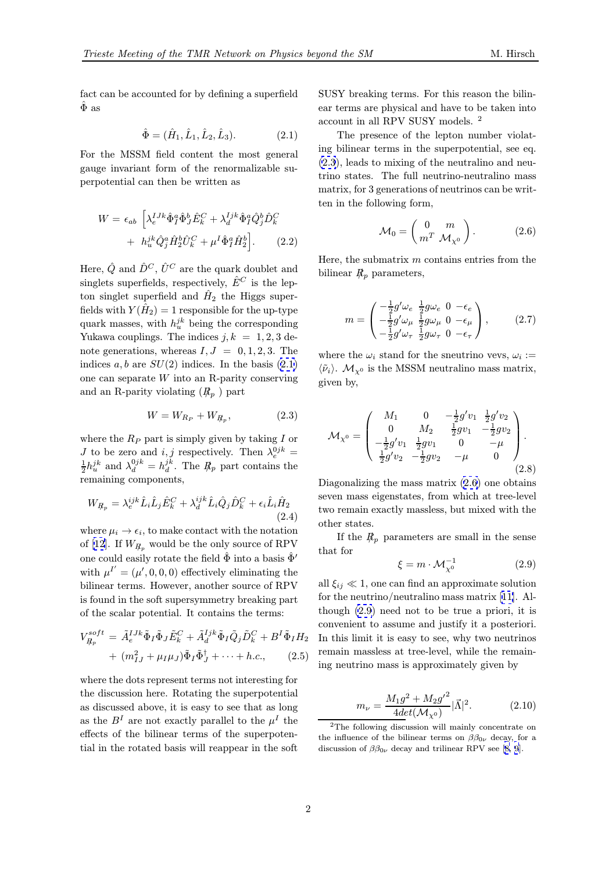fact can be accounted for by defining a superfield  $\ddot{\Phi}$  as

$$
\hat{\Phi} = (\hat{H}_1, \hat{L}_1, \hat{L}_2, \hat{L}_3). \tag{2.1}
$$

For the MSSM field content the most general gauge invariant form of the renormalizable superpotential can then be written as

$$
W = \epsilon_{ab} \left[ \lambda_e^{IJK} \hat{\Phi}_I^a \hat{\Phi}_J^b \hat{E}_k^C + \lambda_d^{Ijk} \hat{\Phi}_I^a \hat{Q}_j^b \hat{D}_k^C \right. \\
\left. + h_u^{jk} \hat{Q}_j^a \hat{H}_2^b \hat{U}_k^C + \mu^I \hat{\Phi}_I^a \hat{H}_2^b \right].\n\tag{2.2}
$$

Here,  $\hat{Q}$  and  $\hat{D}^C$ ,  $\hat{U}^C$  are the quark doublet and singlets superfields, respectively,  $\hat{E}^C$  is the lepton singlet superfield and  $\hat{H}_2$  the Higgs superfields with  $Y(\hat{H}_2) = 1$  responsible for the up-type quark masses, with  $h_u^{jk}$  being the corresponding Yukawa couplings. The indices  $j, k = 1, 2, 3$  denote generations, whereas  $I, J = 0, 1, 2, 3$ . The indices  $a, b$  are  $SU(2)$  indices. In the basis  $(2.1)$ one can separate W into an R-parity conserving and an R-parity violating  $(R_p)$  part

$$
W = W_{R_P} + W_{R_p},\tag{2.3}
$$

where the  $R_P$  part is simply given by taking  $I$  or *J* to be zero and *i*, *j* respectively. Then  $\lambda_e^{0jk} = \frac{1}{2}h_u^{jk}$  and  $\lambda_d^{0jk} = h_d^{jk}$ . The  $R_p$  part contains the remaining components,

$$
W_{R_p} = \lambda_e^{ijk} \hat{L}_i \hat{L}_j \hat{E}_k^C + \lambda_d^{ijk} \hat{L}_i \hat{Q}_j \hat{D}_k^C + \epsilon_i \hat{L}_i \hat{H}_2
$$
\n(2.4)

where  $\mu_i \to \epsilon_i$ , to make contact with the notation of [12]. If  $W_{R_n}$  would be the only source of RPV one could easily rotate the field  $\hat{\Phi}$  into a basis  $\hat{\Phi}'$ with  $\mu^{I'} = (\mu', 0, 0, 0)$  effectively eliminating the bilinear terms. However, another source of RPV is f[oun](#page-5-0)d in the soft supersymmetry breaking part of the scalar potential. It contains the terms:

$$
V_{R_p}^{soft} = \tilde{A}_e^{IJk} \tilde{\Phi}_I \tilde{\Phi}_J \tilde{E}_k^C + \tilde{A}_d^{Ijk} \tilde{\Phi}_I \tilde{Q}_j \tilde{D}_k^C + B^I \tilde{\Phi}_I H_2 + (m_{IJ}^2 + \mu_I \mu_J) \tilde{\Phi}_I \tilde{\Phi}_J^{\dagger} + \cdots + h.c.,
$$
 (2.5)

where the dots represent terms not interesting for the discussion here. Rotating the superpotential as discussed above, it is easy to see that as long as the  $B<sup>I</sup>$  are not exactly parallel to the  $\mu<sup>I</sup>$  the effects of the bilinear terms of the superpotential in the rotated basis will reappear in the soft SUSY breaking terms. For this reason the bilinear terms are physical and have to be taken into account in all RPV SUSY models. <sup>2</sup>

The presence of the lepton number violating bilinear terms in the superpotential, see eq. (2.3), leads to mixing of the neutralino and neutrino states. The full neutrino-neutralino mass matrix, for 3 generations of neutrinos can be written in the following form,

$$
\mathcal{M}_0 = \begin{pmatrix} 0 & m \\ m^T & \mathcal{M}_{\chi^0} \end{pmatrix} . \tag{2.6}
$$

Here, the submatrix  $m$  contains entries from the bilinear  $R_p$  parameters,

$$
m = \begin{pmatrix} -\frac{1}{2}g'\omega_e & \frac{1}{2}g\omega_e & 0 & -\epsilon_e \\ -\frac{1}{2}g'\omega_\mu & \frac{1}{2}g\omega_\mu & 0 & -\epsilon_\mu \\ -\frac{1}{2}g'\omega_\tau & \frac{1}{2}g\omega_\tau & 0 & -\epsilon_\tau \end{pmatrix},
$$
(2.7)

where the  $\omega_i$  stand for the sneutrino vevs,  $\omega_i :=$  $\langle \tilde{\nu}_i \rangle$ .  $\mathcal{M}_{\chi^0}$  is the MSSM neutralino mass matrix, given by,

$$
\mathcal{M}_{\chi^0} = \begin{pmatrix} M_1 & 0 & -\frac{1}{2}g'v_1 & \frac{1}{2}g'v_2 \\ 0 & M_2 & \frac{1}{2}gv_1 & -\frac{1}{2}gv_2 \\ -\frac{1}{2}g'v_1 & \frac{1}{2}gv_1 & 0 & -\mu \\ \frac{1}{2}g'v_2 & -\frac{1}{2}gv_2 & -\mu & 0 \end{pmatrix}.
$$
\n(2.8)

Diagonalizing the mass matrix (2.6) one obtains seven mass eigenstates, from which at tree-level two remain exactly massless, but mixed with the other states.

If the  $R_p$  parameters are small in the sense that for

$$
\xi = m \cdot \mathcal{M}_{\chi^0}^{-1} \tag{2.9}
$$

all  $\xi_{ij} \ll 1$ , one can find an approximate solution for the neutrino/neutralino mass matrix [11]. Although (2.9) need not to be true a priori, it is convenient to assume and justify it a posteriori. In this limit it is easy to see, why two neutrinos remain massless at tree-level, while the [rem](#page-5-0)aining neutrino mass is approximately given by

$$
m_{\nu} = \frac{M_1 g^2 + M_2 {g'}^2}{4det(\mathcal{M}_{\chi^0})} |\vec{\Lambda}|^2.
$$
 (2.10)

<sup>2</sup>The following discussion will mainly concentrate on the influence of the bilinear terms on  $\beta \beta_{0\nu}$  decay, for a discussion of  $\beta \beta_{0\nu}$  decay and trilinear RPV see [8, 9].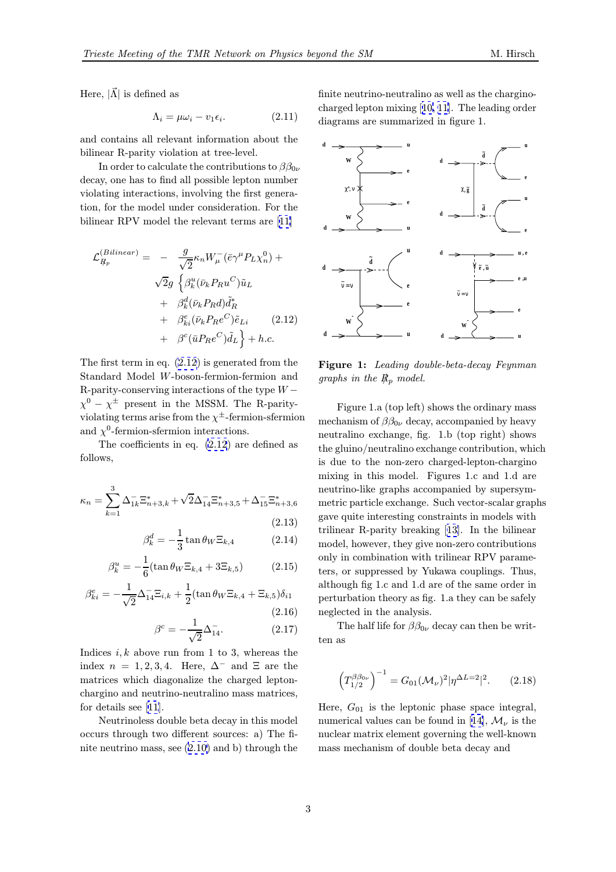<span id="page-2-0"></span>Here,  $|\vec{\Lambda}|$  is defined as

$$
\Lambda_i = \mu \omega_i - v_1 \epsilon_i. \tag{2.11}
$$

and contains all relevant information about the bilinear R-parity violation at tree-level.

In order to calculate the contributions to  $\beta\beta_{0\nu}$ decay, one has to find all possible lepton number violating interactions, involving the first generation, for the model under consideration. For the bilinear RPV model the relevant terms are [11]

$$
\mathcal{L}_{R_p}^{(Bilinear)} = -\frac{g}{\sqrt{2}} \kappa_n W_{\mu}^{-} (\bar{e} \gamma^{\mu} P_L \chi_n^0) +
$$
  

$$
\sqrt{2}g \left\{ \beta_k^u (\bar{\nu}_k P_R u^C) \tilde{u}_L + \beta_k^d (\bar{\nu}_k P_R d) \tilde{d}_R^* + \beta_{ki}^e (\bar{\nu}_k P_R e^C) \tilde{e}_{Li} \right\} + h.c.
$$
  
(2.12)

The first term in eq. (2.12) is generated from the Standard Model W-boson-fermion-fermion and R-parity-conserving interactions of the type  $W \chi^0 - \chi^{\pm}$  present in the MSSM. The R-parityviolating terms arise from the  $\chi^{\pm}$ -fermion-sfermion and  $\chi^0$ -fermion-sfermion interactions.

The coefficients in eq. (2.12) are defined as follows,

$$
\kappa_n = \sum_{k=1}^3 \Delta_{1k}^- \Xi_{n+3,k}^* + \sqrt{2} \Delta_{14}^- \Xi_{n+3,5}^* + \Delta_{15}^- \Xi_{n+3,6}^* \tag{2.13}
$$

$$
\beta_k^d = -\frac{1}{3} \tan \theta_W \Xi_{k,4} \tag{2.14}
$$

$$
\beta_k^u = -\frac{1}{6}(\tan \theta_W \Xi_{k,4} + 3\Xi_{k,5})
$$
 (2.15)

$$
\beta_{ki}^e = -\frac{1}{\sqrt{2}} \Delta_{14}^- \Xi_{i,k} + \frac{1}{2} (\tan \theta_W \Xi_{k,4} + \Xi_{k,5}) \delta_{i1}
$$
\n(2.16)

$$
\beta^{c} = -\frac{1}{\sqrt{2}} \Delta_{14}^{-}.
$$
 (2.17)

Indices  $i, k$  above run from 1 to 3, whereas the index  $n = 1, 2, 3, 4$ . Here,  $\Delta^-$  and  $\Xi$  are the matrices which diagonalize the charged leptonchargino and neutrino-neutralino mass matrices, for details see [11].

Neutrinoless double beta decay in this model occurs through two different sources: a) The finite neutrino [mas](#page-5-0)s, see (2.10) and b) through the finite neutrino-neutralino as well as the charginocharged lepton mixing [10, 11]. The leading order diagrams are summarized in figure 1.



Figure 1: Leading double-beta-decay Feynman graphs in the  $R_p$  model.

Figure 1.a (top left) shows the ordinary mass mechanism of  $\beta\beta_{0\nu}$  decay, accompanied by heavy neutralino exchange, fig. 1.b (top right) shows the gluino/neutralino exchange contribution, which is due to the non-zero charged-lepton-chargino mixing in this model. Figures 1.c and 1.d are neutrino-like graphs accompanied by supersymmetric particle exchange. Such vector-scalar graphs gave quite interesting constraints in models with trilinear R-parity breaking [13]. In the bilinear model, however, they give non-zero contributions only in combination with trilinear RPV parameters, or suppressed by Yukawa couplings. Thus, although fig 1.c and 1.d are [of t](#page-5-0)he same order in perturbation theory as fig. 1.a they can be safely neglected in the analysis.

The half life for  $\beta\beta_{0\nu}$  decay can then be written as

$$
\left(T_{1/2}^{\beta\beta_{0\nu}}\right)^{-1} = G_{01}(\mathcal{M}_{\nu})^2 |\eta^{\Delta L=2}|^2. \qquad (2.18)
$$

Here,  $G_{01}$  is the leptonic phase space integral, numerical values can be found in [14],  $\mathcal{M}_{\nu}$  is the nuclear matrix element governing the well-known mass mechanism of double beta decay and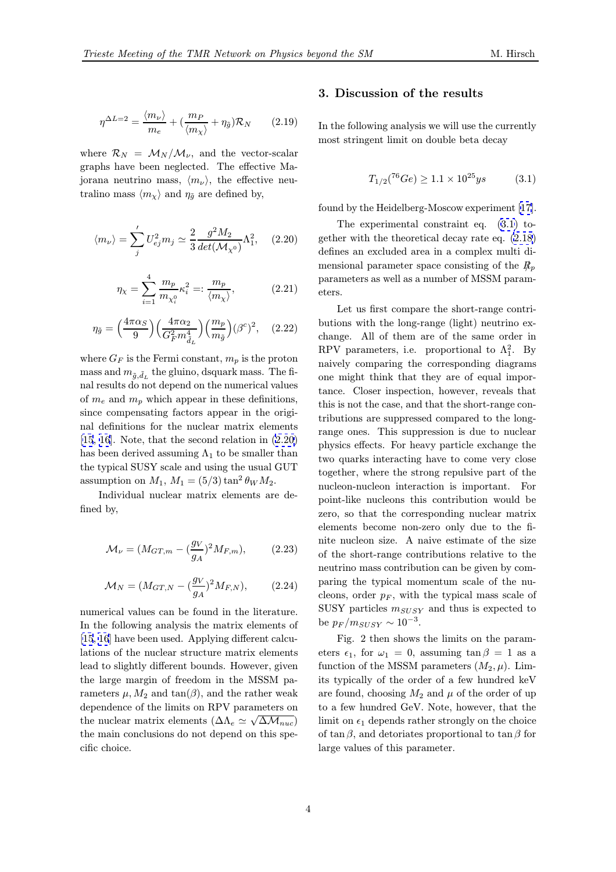$$
\eta^{\Delta L=2} = \frac{\langle m_{\nu} \rangle}{m_e} + \left(\frac{m_P}{\langle m_{\chi} \rangle} + \eta_{\tilde{g}}\right) \mathcal{R}_N \qquad (2.19)
$$

where  $\mathcal{R}_N = \mathcal{M}_N / \mathcal{M}_\nu$ , and the vector-scalar graphs have been neglected. The effective Majorana neutrino mass,  $\langle m_{\nu} \rangle$ , the effective neutralino mass  $\langle m_{\chi} \rangle$  and  $\eta_{\tilde{q}}$  are defined by,

$$
\langle m_{\nu} \rangle = \sum_{j}^{\prime} U_{ej}^{2} m_{j} \simeq \frac{2}{3} \frac{g^{2} M_{2}}{det(\mathcal{M}_{\chi^{0}})} \Lambda_{1}^{2}, \quad (2.20)
$$

$$
\eta_{\chi} = \sum_{i=1}^{4} \frac{m_p}{m_{\chi_i^0}} \kappa_i^2 =: \frac{m_p}{\langle m_{\chi} \rangle},
$$
 (2.21)

$$
\eta_{\tilde{g}} = \left(\frac{4\pi\alpha_S}{9}\right) \left(\frac{4\pi\alpha_2}{G_F^2 m_{\tilde{d}_L}^4}\right) \left(\frac{m_p}{m_{\tilde{g}}}\right) (\beta^c)^2, \quad (2.22)
$$

where  $G_F$  is the Fermi constant,  $m_p$  is the proton mass and  $m_{\tilde{a}, \tilde{d}_L}$  the gluino, dsquark mass. The final results do not depend on the numerical values of  $m_e$  and  $m_p$  which appear in these definitions, since compensating factors appear in the original definitions for the nuclear matrix elements [15, 16]. Note, that the second relation in (2.20) has been derived assuming  $\Lambda_1$  to be smaller than the typical SUSY scale and using the usual GUT [ass](#page-5-0)umption on  $M_1$ ,  $M_1 = (5/3) \tan^2 \theta_W M_2$ .

[Ind](#page-5-0)ividual nuclear matrix elements are defined by,

$$
\mathcal{M}_{\nu} = (M_{GT,m} - (\frac{g_V}{g_A})^2 M_{F,m}), \tag{2.23}
$$

$$
\mathcal{M}_N = (M_{GT,N} - (\frac{g_V}{g_A})^2 M_{F,N}),
$$
 (2.24)

numerical values can be found in the literature. In the following analysis the matrix elements of [15, 16] have been used. Applying different calculations of the nuclear structure matrix elements lead to slightly different bounds. However, given the large margin of freedom in the MSSM pa[ramete](#page-5-0)rs  $\mu$ ,  $M_2$  and  $tan(\beta)$ , and the rather weak dependence of the limits on RPV parameters on the nuclear matrix elements  $(\Delta\Lambda_e \simeq \sqrt{\Delta M_{nuc}})$ the main conclusions do not depend on this specific choice.

#### 3. Discussion of the results

In the following analysis we will use the currently most stringent limit on double beta decay

$$
T_{1/2}({}^{76}Ge) \ge 1.1 \times 10^{25}ys \tag{3.1}
$$

found by the Heidelberg-Moscow experiment [17].

The experimental constraint eq. (3.1) together with the theoretical decay rate eq. (2.18) defines an excluded area in a complex multi dimensional parameter space consisting of the  $R_p$ parameters as well as a number of MSSM p[aram](#page-2-0)eters.

Let us first compare the short-range contributions with the long-range (light) neutrino exchange. All of them are of the same order in RPV parameters, i.e. proportional to  $\Lambda_1^2$ . By naively comparing the corresponding diagrams one might think that they are of equal importance. Closer inspection, however, reveals that this is not the case, and that the short-range contributions are suppressed compared to the longrange ones. This suppression is due to nuclear physics effects. For heavy particle exchange the two quarks interacting have to come very close together, where the strong repulsive part of the nucleon-nucleon interaction is important. For point-like nucleons this contribution would be zero, so that the corresponding nuclear matrix elements become non-zero only due to the finite nucleon size. A naive estimate of the size of the short-range contributions relative to the neutrino mass contribution can be given by comparing the typical momentum scale of the nucleons, order  $p_F$ , with the typical mass scale of SUSY particles  $m_{SUSY}$  and thus is expected to be  $p_F/m_{SUSY} \sim 10^{-3}$ .

Fig. 2 then shows the limits on the parameters  $\epsilon_1$ , for  $\omega_1 = 0$ , assuming  $\tan \beta = 1$  as a function of the MSSM parameters  $(M_2, \mu)$ . Limits typically of the order of a few hundred keV are found, choosing  $M_2$  and  $\mu$  of the order of up to a few hundred GeV. Note, however, that the limit on  $\epsilon_1$  depends rather strongly on the choice of tan  $\beta$ , and detoriates proportional to tan  $\beta$  for large values of this parameter.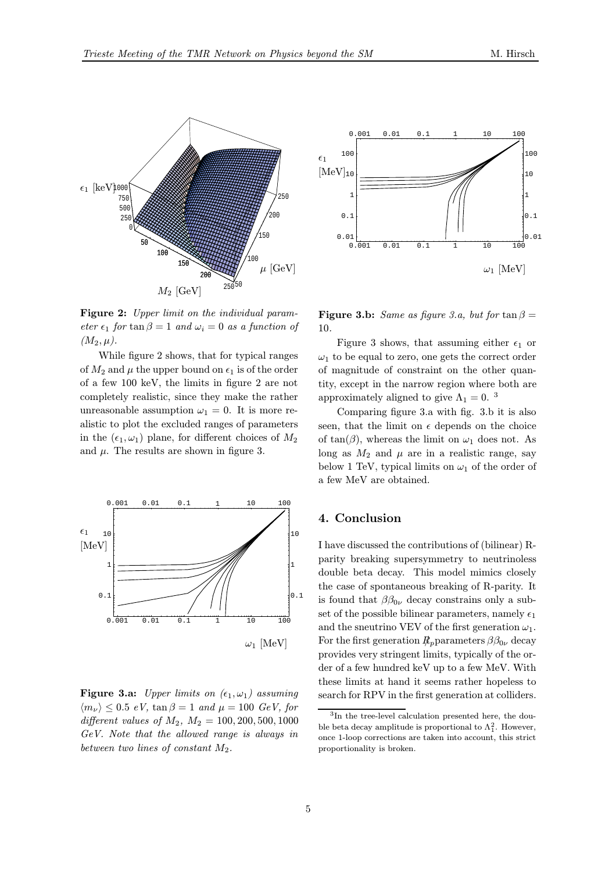

Figure 2: Upper limit on the individual parameter  $\epsilon_1$  for tan  $\beta = 1$  and  $\omega_i = 0$  as a function of  $(M_2, \mu).$ 

While figure 2 shows, that for typical ranges of  $M_2$  and  $\mu$  the upper bound on  $\epsilon_1$  is of the order of a few 100 keV, the limits in figure 2 are not completely realistic, since they make the rather unreasonable assumption  $\omega_1 = 0$ . It is more realistic to plot the excluded ranges of parameters in the  $(\epsilon_1, \omega_1)$  plane, for different choices of  $M_2$ and  $\mu$ . The results are shown in figure 3.



Figure 3.a: Upper limits on  $(\epsilon_1, \omega_1)$  assuming  $\langle m_{\nu} \rangle \leq 0.5 \, eV$ ,  $\tan \beta = 1 \, and \, \mu = 100 \, GeV$ , for different values of  $M_2$ ,  $M_2 = 100, 200, 500, 1000$ GeV. Note that the allowed range is always in between two lines of constant  $M_2$ .



**Figure 3.b:** Same as figure 3.a, but for  $\tan \beta =$ 10.

Figure 3 shows, that assuming either  $\epsilon_1$  or  $\omega_1$  to be equal to zero, one gets the correct order of magnitude of constraint on the other quantity, except in the narrow region where both are approximately aligned to give  $\Lambda_1 = 0$ .<sup>3</sup>

Comparing figure 3.a with fig. 3.b it is also seen, that the limit on  $\epsilon$  depends on the choice of tan( $\beta$ ), whereas the limit on  $\omega_1$  does not. As long as  $M_2$  and  $\mu$  are in a realistic range, say below 1 TeV, typical limits on  $\omega_1$  of the order of a few MeV are obtained.

### 4. Conclusion

I have discussed the contributions of (bilinear) Rparity breaking supersymmetry to neutrinoless double beta decay. This model mimics closely the case of spontaneous breaking of R-parity. It is found that  $\beta\beta_{0\nu}$  decay constrains only a subset of the possible bilinear parameters, namely  $\epsilon_1$ and the sneutrino VEV of the first generation  $\omega_1$ . For the first generation  $R_p$  parameters  $\beta \beta_{0\nu}$  decay provides very stringent limits, typically of the order of a few hundred keV up to a few MeV. With these limits at hand it seems rather hopeless to search for RPV in the first generation at colliders.

<sup>3</sup>In the tree-level calculation presented here, the double beta decay amplitude is proportional to  $\Lambda_1^2$ . However, once 1-loop corrections are taken into account, this strict proportionality is broken.